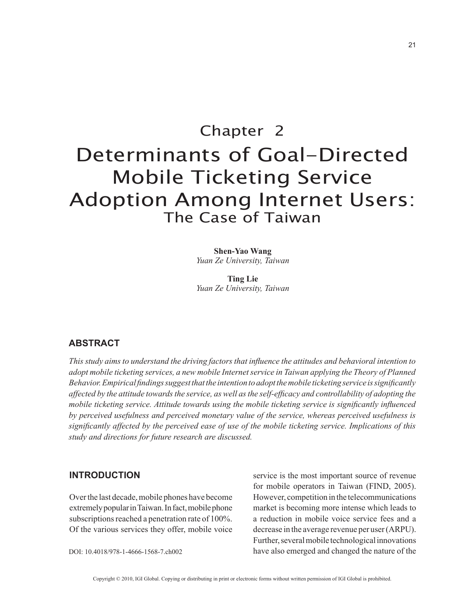# Chapter 2 Determinants of Goal-Directed Mobile Ticketing Service Adoption Among Internet Users: The Case of Taiwan

**Shen-Yao Wang** *Yuan Ze University, Taiwan*

**Ting Lie** *Yuan Ze University, Taiwan*

# **ABSTRACT**

*This study aims to understand the driving factors that influence the attitudes and behavioral intention to adopt mobile ticketing services, a new mobile Internet service in Taiwan applying the Theory of Planned Behavior. Empirical findings suggest that the intention to adopt the mobile ticketing service is significantly affected by the attitude towards the service, as well as the self-efficacy and controllability of adopting the mobile ticketing service. Attitude towards using the mobile ticketing service is significantly influenced by perceived usefulness and perceived monetary value of the service, whereas perceived usefulness is significantly affected by the perceived ease of use of the mobile ticketing service. Implications of this study and directions for future research are discussed.*

## **INTRODUCTION**

Over the last decade, mobile phones have become extremely popular in Taiwan. In fact, mobile phone subscriptions reached a penetration rate of 100%. Of the various services they offer, mobile voice

DOI: 10.4018/978-1-4666-1568-7.ch002

service is the most important source of revenue for mobile operators in Taiwan (FIND, 2005). However, competition in the telecommunications market is becoming more intense which leads to a reduction in mobile voice service fees and a decrease in the average revenue per user (ARPU). Further, several mobile technological innovations have also emerged and changed the nature of the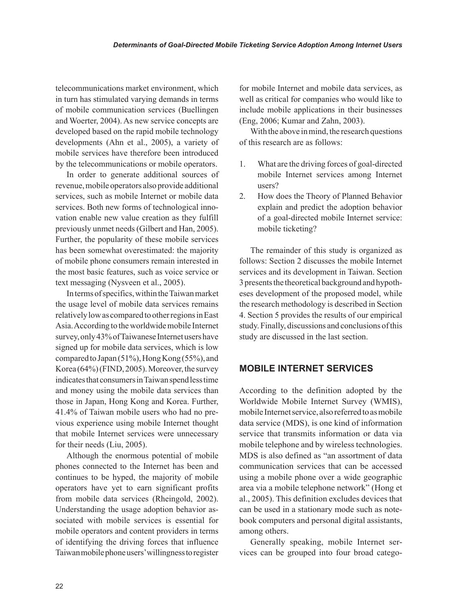telecommunications market environment, which in turn has stimulated varying demands in terms of mobile communication services (Buellingen and Woerter, 2004). As new service concepts are developed based on the rapid mobile technology developments (Ahn et al., 2005), a variety of mobile services have therefore been introduced by the telecommunications or mobile operators.

In order to generate additional sources of revenue, mobile operators also provide additional services, such as mobile Internet or mobile data services. Both new forms of technological innovation enable new value creation as they fulfill previously unmet needs (Gilbert and Han, 2005). Further, the popularity of these mobile services has been somewhat overestimated: the majority of mobile phone consumers remain interested in the most basic features, such as voice service or text messaging (Nysveen et al., 2005).

In terms of specifics, within the Taiwan market the usage level of mobile data services remains relatively low as compared to other regions in East Asia. According to the worldwide mobile Internet survey, only 43% of Taiwanese Internet users have signed up for mobile data services, which is low compared to Japan (51%), Hong Kong (55%), and Korea (64%) (FIND, 2005). Moreover, the survey indicates that consumers in Taiwan spend less time and money using the mobile data services than those in Japan, Hong Kong and Korea. Further, 41.4% of Taiwan mobile users who had no previous experience using mobile Internet thought that mobile Internet services were unnecessary for their needs (Liu, 2005).

Although the enormous potential of mobile phones connected to the Internet has been and continues to be hyped, the majority of mobile operators have yet to earn significant profits from mobile data services (Rheingold, 2002). Understanding the usage adoption behavior associated with mobile services is essential for mobile operators and content providers in terms of identifying the driving forces that influence Taiwan mobile phone users' willingness to register for mobile Internet and mobile data services, as well as critical for companies who would like to include mobile applications in their businesses (Eng, 2006; Kumar and Zahn, 2003).

With the above in mind, the research questions of this research are as follows:

- 1. What are the driving forces of goal-directed mobile Internet services among Internet users?
- 2. How does the Theory of Planned Behavior explain and predict the adoption behavior of a goal-directed mobile Internet service: mobile ticketing?

The remainder of this study is organized as follows: Section 2 discusses the mobile Internet services and its development in Taiwan. Section 3 presents the theoretical background and hypotheses development of the proposed model, while the research methodology is described in Section 4. Section 5 provides the results of our empirical study. Finally, discussions and conclusions of this study are discussed in the last section.

## **MOBILE INTERNET SERVICES**

According to the definition adopted by the Worldwide Mobile Internet Survey (WMIS), mobile Internet service, also referred to as mobile data service (MDS), is one kind of information service that transmits information or data via mobile telephone and by wireless technologies. MDS is also defined as "an assortment of data communication services that can be accessed using a mobile phone over a wide geographic area via a mobile telephone network" (Hong et al., 2005). This definition excludes devices that can be used in a stationary mode such as notebook computers and personal digital assistants, among others.

Generally speaking, mobile Internet services can be grouped into four broad catego